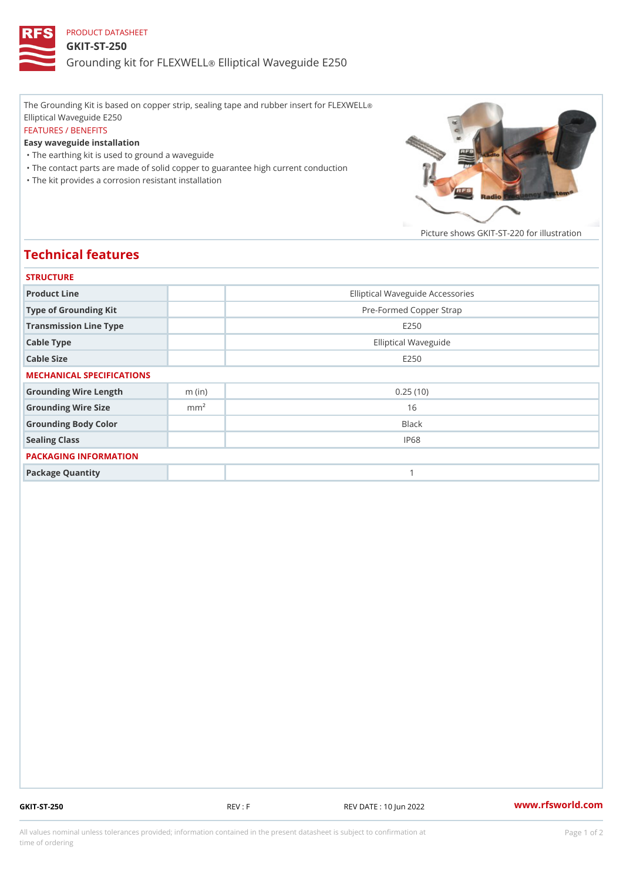## PRODUCT DATASHEET GKIT-ST-250 Grounding kit for **ELEIXIVE tal** Waveguide E250

The Grounding Kit is based on copper strip, sealing tape and rubber insert for FLEXWELL ® Elliptical Waveguide E250 FEATURES / BENEFITS Easy waveguide installation "The earthing kit is used to ground a waveguide "The contact parts are made of solid copper to guarantee high current conduction

"The kit provides a corrosion resistant installation

Picture shows  $GKIT-ST-220$  for ill

## Technical features

| <b>STRUCTURE</b>          |                  |                                  |
|---------------------------|------------------|----------------------------------|
| Product Line              |                  | Elliptical Waveguide Accessories |
| Type of Grounding Kit     |                  | Pre-Formed Copper Strap          |
| Transmission Line Type    |                  | E 2 5 0                          |
| Cable Type                |                  | Elliptical Waveguide             |
| Cable Size                |                  | E 2 5 0                          |
| MECHANICAL SPECIFICATIONS |                  |                                  |
| Grounding Wire Length     | $m$ (in)         | 0.25(10)                         |
| Grounding Wire Size       | m m <sup>2</sup> | 16                               |
| Grounding Body Color      |                  | Black                            |
| Sealing Class             |                  | IP68                             |
| PACKAGING INFORMATION     |                  |                                  |
| Package Quantity          |                  | 1                                |

GKIT-ST-250 REV : F REV DATE : 10 Jun 2022 [www.](https://www.rfsworld.com)rfsworld.com